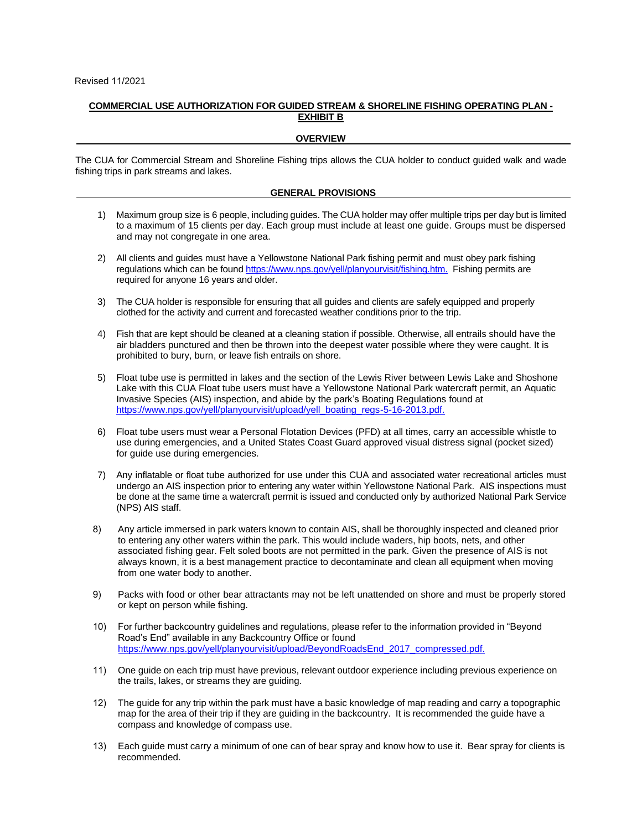## **COMMERCIAL USE AUTHORIZATION FOR GUIDED STREAM & SHORELINE FISHING OPERATING PLAN - EXHIBIT B**

## **OVERVIEW**

 The CUA for Commercial Stream and Shoreline Fishing trips allows the CUA holder to conduct guided walk and wade fishing trips in park streams and lakes.

## **GENERAL PROVISIONS**

- 1) Maximum group size is 6 people, including guides. The CUA holder may offer multiple trips per day but is limited to a maximum of 15 clients per day. Each group must include at least one guide. Groups must be dispersed and may not congregate in one area.
- 2) All clients and guides must have a Yellowstone National Park fishing permit and must obey park fishing regulations which can be foun[d https://www.nps.gov/yell/planyourvisit/fishing.htm.](https://www.nps.gov/yell/planyourvisit/fishing.htm) Fishing permits are required for anyone 16 years and older.
- 3) The CUA holder is responsible for ensuring that all guides and clients are safely equipped and properly clothed for the activity and current and forecasted weather conditions prior to the trip.
- 4) Fish that are kept should be cleaned at a cleaning station if possible. Otherwise, all entrails should have the air bladders punctured and then be thrown into the deepest water possible where they were caught. It is prohibited to bury, burn, or leave fish entrails on shore.
- 5) Float tube use is permitted in lakes and the section of the Lewis River between Lewis Lake and Shoshone Lake with this CUA Float tube users must have a Yellowstone National Park watercraft permit, an Aquatic Invasive Species (AIS) inspection, and abide by the park's Boating Regulations found at [https://www.nps.gov/yell/planyourvisit/upload/yell\\_boating\\_regs-5-16-2013.pdf.](https://www.nps.gov/yell/planyourvisit/upload/yell_boating_regs-5-16-2013.pdf)
- use during emergencies, and a United States Coast Guard approved visual distress signal (pocket sized) for guide use during emergencies. 6) Float tube users must wear a Personal Flotation Devices (PFD) at all times, carry an accessible whistle to
- 7) Any inflatable or float tube authorized for use under this CUA and associated water recreational articles must be done at the same time a watercraft permit is issued and conducted only by authorized National Park Service undergo an AIS inspection prior to entering any water within Yellowstone National Park. AIS inspections must (NPS) AIS staff.
- 8) Any article immersed in park waters known to contain AIS, shall be thoroughly inspected and cleaned prior to entering any other waters within the park. This would include waders, hip boots, nets, and other associated fishing gear. Felt soled boots are not permitted in the park. Given the presence of AIS is not always known, it is a best management practice to decontaminate and clean all equipment when moving from one water body to another.
- 9) Packs with food or other bear attractants may not be left unattended on shore and must be properly stored or kept on person while fishing.
- 10) For further backcountry guidelines and regulations, please refer to the information provided in "Beyond Road's End" available in any Backcountry Office or found [https://www.nps.gov/yell/planyourvisit/upload/BeyondRoadsEnd\\_2017\\_compressed.pd](https://www.nps.gov/yell/planyourvisit/upload/BeyondRoadsEnd_2017_compressed.pdf)f.
- 11) One guide on each trip must have previous, relevant outdoor experience including previous experience on the trails, lakes, or streams they are guiding.
- 12) The guide for any trip within the park must have a basic knowledge of map reading and carry a topographic map for the area of their trip if they are guiding in the backcountry. It is recommended the guide have a compass and knowledge of compass use.
- 13) Each guide must carry a minimum of one can of bear spray and know how to use it. Bear spray for clients is recommended.